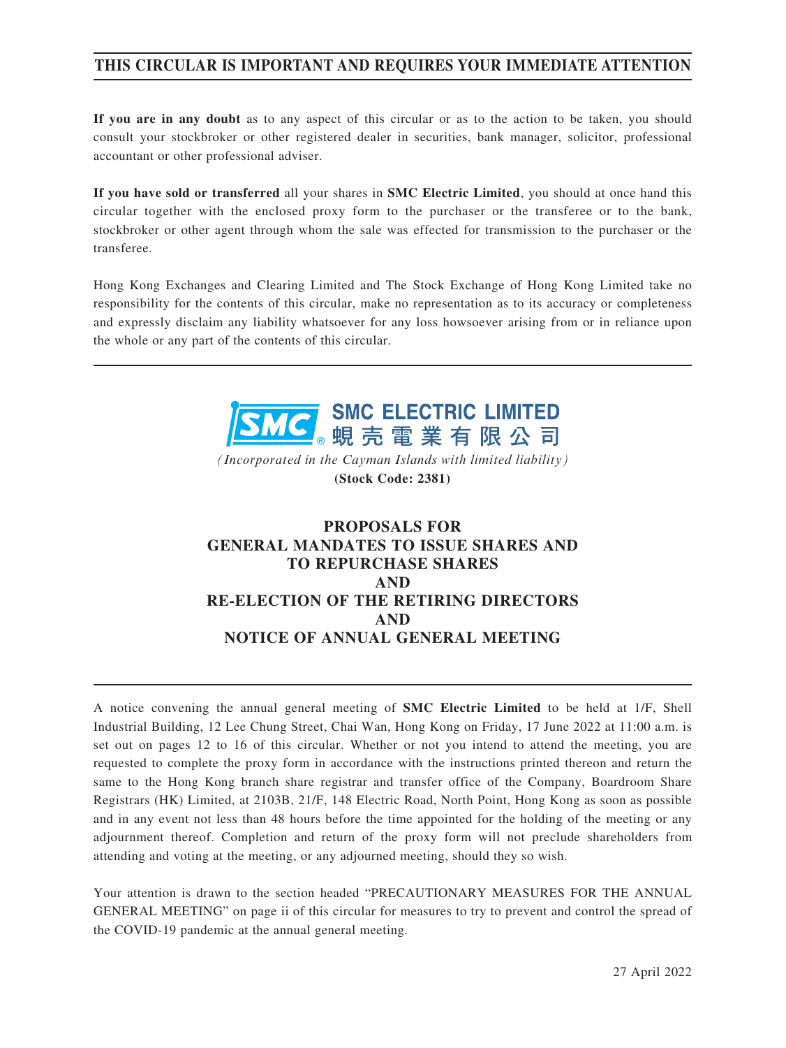## **THIS CIRCULAR IS IMPORTANT AND REQUIRES YOUR IMMEDIATE ATTENTION**

**If you are in any doubt** as to any aspect of this circular or as to the action to be taken, you should consult your stockbroker or other registered dealer in securities, bank manager, solicitor, professional accountant or other professional adviser.

**If you have sold or transferred** all your shares in **SMC Electric Limited**, you should at once hand this circular together with the enclosed proxy form to the purchaser or the transferee or to the bank, stockbroker or other agent through whom the sale was effected for transmission to the purchaser or the transferee.

Hong Kong Exchanges and Clearing Limited and The Stock Exchange of Hong Kong Limited take no responsibility for the contents of this circular, make no representation as to its accuracy or completeness and expressly disclaim any liability whatsoever for any loss howsoever arising from or in reliance upon the whole or any part of the contents of this circular.



*(Incorporated in the Cayman Islands with limited liability)* **(Stock Code: 2381)**

## **PROPOSALS FOR GENERAL MANDATES TO ISSUE SHARES AND TO REPURCHASE SHARES AND RE-ELECTION OF THE RETIRING DIRECTORS AND NOTICE OF ANNUAL GENERAL MEETING**

A notice convening the annual general meeting of **SMC Electric Limited** to be held at 1/F, Shell Industrial Building, 12 Lee Chung Street, Chai Wan, Hong Kong on Friday, 17 June 2022 at 11:00 a.m. is set out on pages 12 to 16 of this circular. Whether or not you intend to attend the meeting, you are requested to complete the proxy form in accordance with the instructions printed thereon and return the same to the Hong Kong branch share registrar and transfer office of the Company, Boardroom Share Registrars (HK) Limited, at 2103B, 21/F, 148 Electric Road, North Point, Hong Kong as soon as possible and in any event not less than 48 hours before the time appointed for the holding of the meeting or any adjournment thereof. Completion and return of the proxy form will not preclude shareholders from attending and voting at the meeting, or any adjourned meeting, should they so wish.

Your attention is drawn to the section headed "PRECAUTIONARY MEASURES FOR THE ANNUAL GENERAL MEETING" on page ii of this circular for measures to try to prevent and control the spread of the COVID-19 pandemic at the annual general meeting.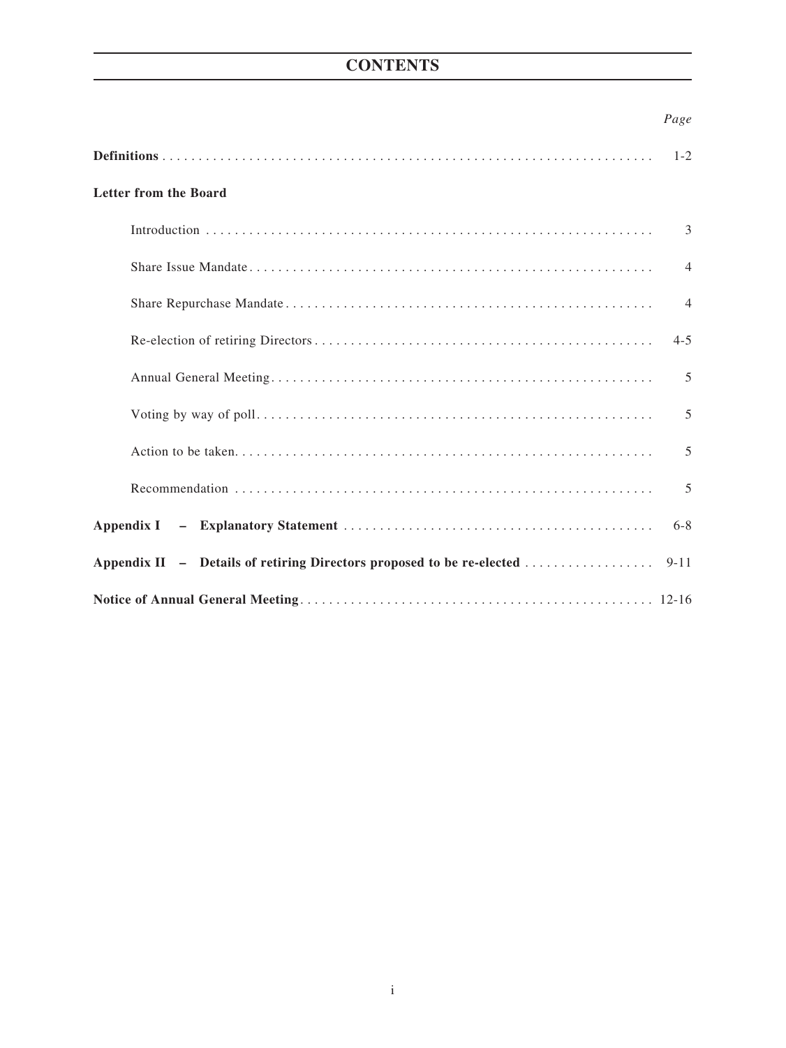# **CONTENTS**

## *Page*

|                                                                       | $1 - 2$        |
|-----------------------------------------------------------------------|----------------|
| <b>Letter from the Board</b>                                          |                |
|                                                                       | 3              |
|                                                                       | $\overline{4}$ |
|                                                                       | $\overline{4}$ |
|                                                                       | $4 - 5$        |
|                                                                       | 5              |
|                                                                       | 5              |
|                                                                       | 5              |
|                                                                       | 5              |
|                                                                       | $6 - 8$        |
| Appendix II - Details of retiring Directors proposed to be re-elected | $9 - 11$       |
|                                                                       |                |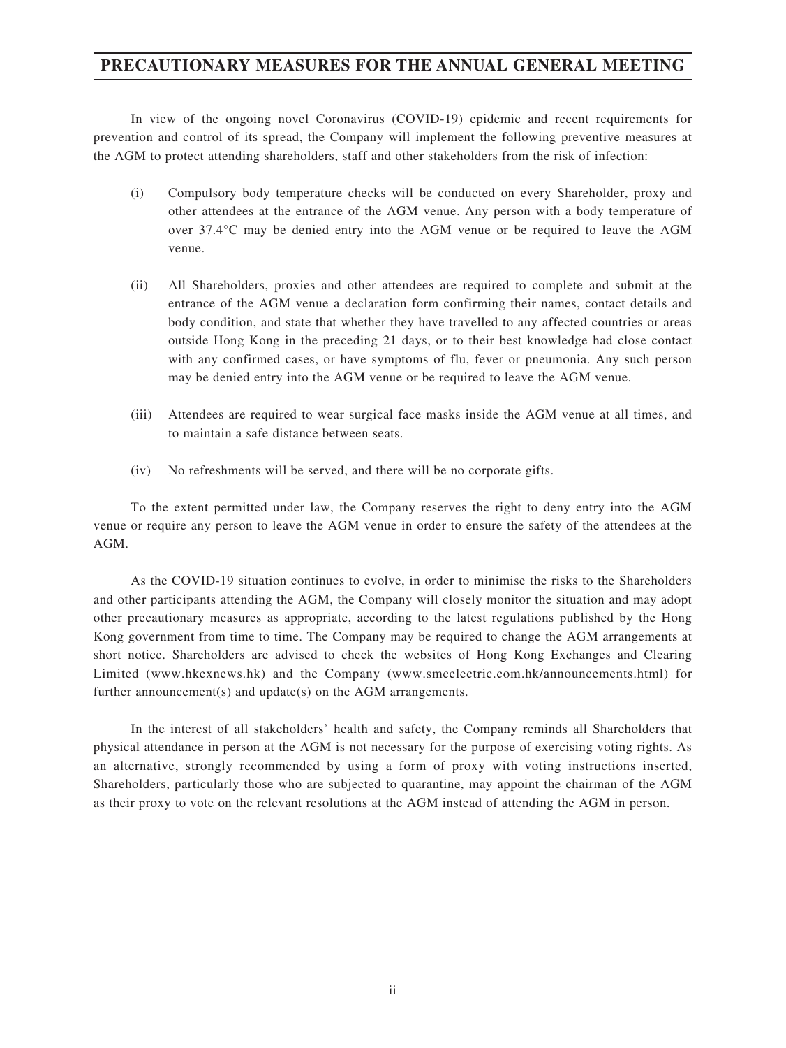## **PRECAUTIONARY MEASURES FOR THE ANNUAL GENERAL MEETING**

In view of the ongoing novel Coronavirus (COVID-19) epidemic and recent requirements for prevention and control of its spread, the Company will implement the following preventive measures at the AGM to protect attending shareholders, staff and other stakeholders from the risk of infection:

- (i) Compulsory body temperature checks will be conducted on every Shareholder, proxy and other attendees at the entrance of the AGM venue. Any person with a body temperature of over 37.4°C may be denied entry into the AGM venue or be required to leave the AGM venue.
- (ii) All Shareholders, proxies and other attendees are required to complete and submit at the entrance of the AGM venue a declaration form confirming their names, contact details and body condition, and state that whether they have travelled to any affected countries or areas outside Hong Kong in the preceding 21 days, or to their best knowledge had close contact with any confirmed cases, or have symptoms of flu, fever or pneumonia. Any such person may be denied entry into the AGM venue or be required to leave the AGM venue.
- (iii) Attendees are required to wear surgical face masks inside the AGM venue at all times, and to maintain a safe distance between seats.
- (iv) No refreshments will be served, and there will be no corporate gifts.

To the extent permitted under law, the Company reserves the right to deny entry into the AGM venue or require any person to leave the AGM venue in order to ensure the safety of the attendees at the AGM.

As the COVID-19 situation continues to evolve, in order to minimise the risks to the Shareholders and other participants attending the AGM, the Company will closely monitor the situation and may adopt other precautionary measures as appropriate, according to the latest regulations published by the Hong Kong government from time to time. The Company may be required to change the AGM arrangements at short notice. Shareholders are advised to check the websites of Hong Kong Exchanges and Clearing Limited (www.hkexnews.hk) and the Company (www.smcelectric.com.hk/announcements.html) for further announcement(s) and update(s) on the AGM arrangements.

In the interest of all stakeholders' health and safety, the Company reminds all Shareholders that physical attendance in person at the AGM is not necessary for the purpose of exercising voting rights. As an alternative, strongly recommended by using a form of proxy with voting instructions inserted, Shareholders, particularly those who are subjected to quarantine, may appoint the chairman of the AGM as their proxy to vote on the relevant resolutions at the AGM instead of attending the AGM in person.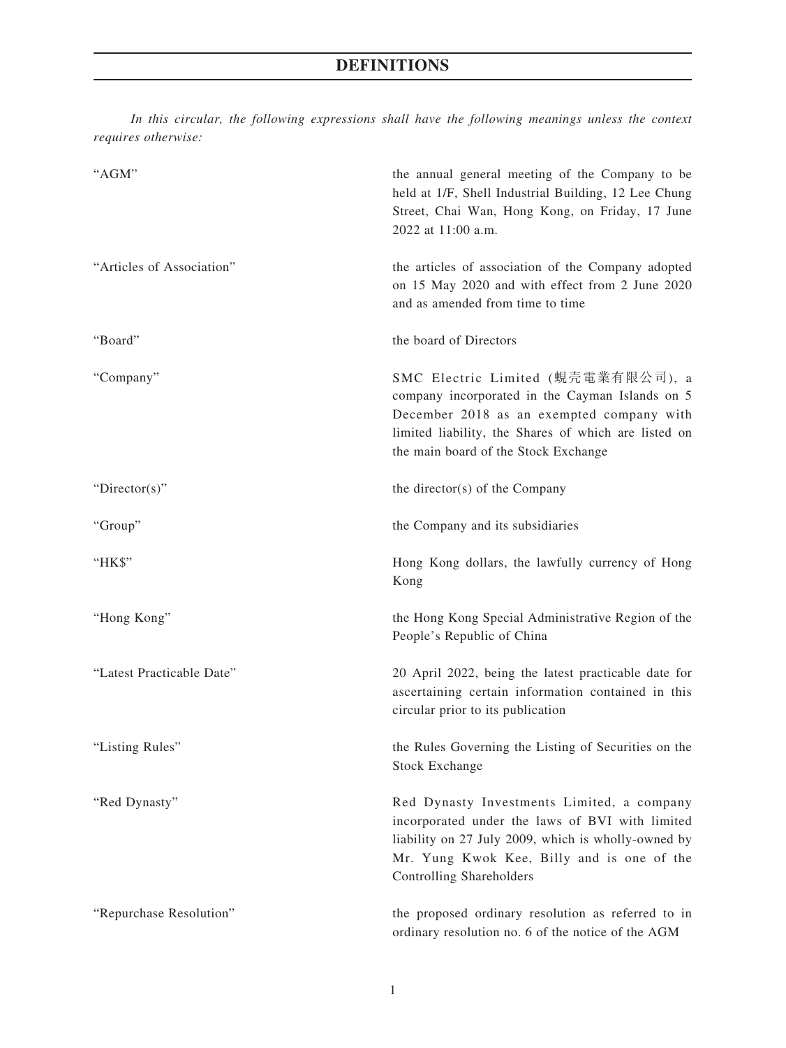*In this circular, the following expressions shall have the following meanings unless the context requires otherwise:*

| "AGM"                     | the annual general meeting of the Company to be<br>held at 1/F, Shell Industrial Building, 12 Lee Chung<br>Street, Chai Wan, Hong Kong, on Friday, 17 June<br>2022 at 11:00 a.m.                                                   |
|---------------------------|------------------------------------------------------------------------------------------------------------------------------------------------------------------------------------------------------------------------------------|
| "Articles of Association" | the articles of association of the Company adopted<br>on 15 May 2020 and with effect from 2 June 2020<br>and as amended from time to time                                                                                          |
| "Board"                   | the board of Directors                                                                                                                                                                                                             |
| "Company"                 | SMC Electric Limited (蜆壳電業有限公司), a<br>company incorporated in the Cayman Islands on 5<br>December 2018 as an exempted company with<br>limited liability, the Shares of which are listed on<br>the main board of the Stock Exchange |
| " $Directory$ "           | the director(s) of the Company                                                                                                                                                                                                     |
| "Group"                   | the Company and its subsidiaries                                                                                                                                                                                                   |
| "HK\$"                    | Hong Kong dollars, the lawfully currency of Hong<br>Kong                                                                                                                                                                           |
| "Hong Kong"               | the Hong Kong Special Administrative Region of the<br>People's Republic of China                                                                                                                                                   |
| "Latest Practicable Date" | 20 April 2022, being the latest practicable date for<br>ascertaining certain information contained in this<br>circular prior to its publication                                                                                    |
| "Listing Rules"           | the Rules Governing the Listing of Securities on the<br><b>Stock Exchange</b>                                                                                                                                                      |
| "Red Dynasty"             | Red Dynasty Investments Limited, a company<br>incorporated under the laws of BVI with limited<br>liability on 27 July 2009, which is wholly-owned by<br>Mr. Yung Kwok Kee, Billy and is one of the<br>Controlling Shareholders     |
| "Repurchase Resolution"   | the proposed ordinary resolution as referred to in<br>ordinary resolution no. 6 of the notice of the AGM                                                                                                                           |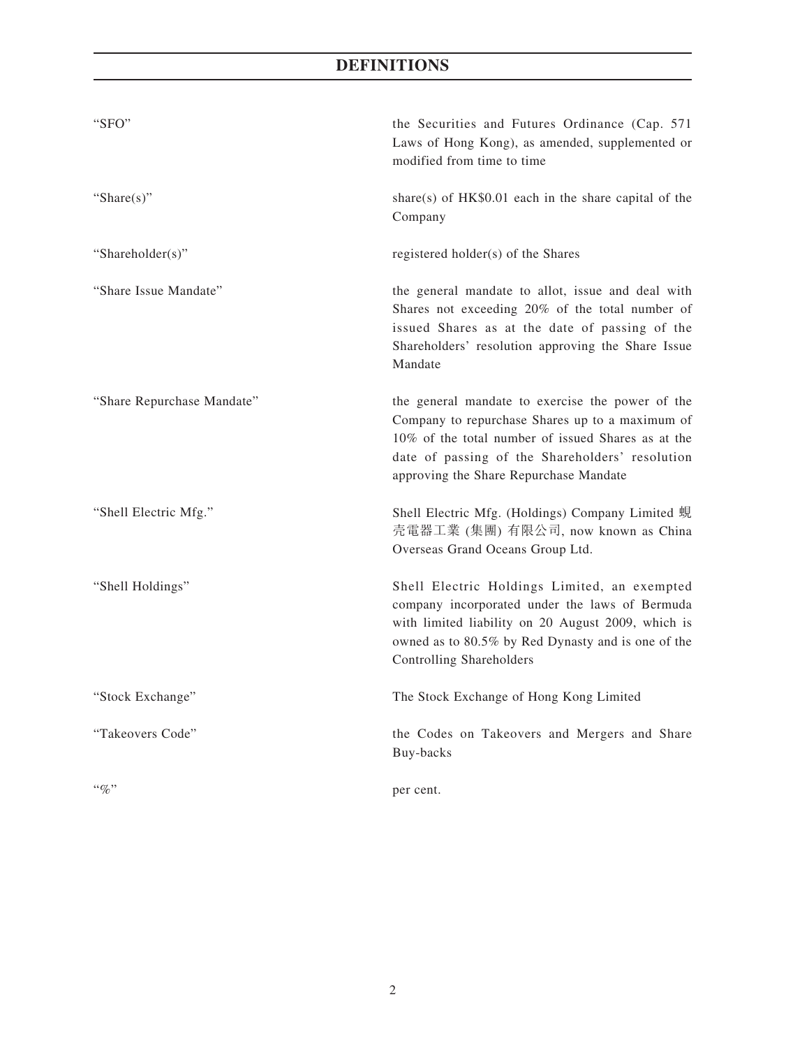# **DEFINITIONS**

| "SFO"                      | the Securities and Futures Ordinance (Cap. 571<br>Laws of Hong Kong), as amended, supplemented or<br>modified from time to time                                                                                                                        |
|----------------------------|--------------------------------------------------------------------------------------------------------------------------------------------------------------------------------------------------------------------------------------------------------|
| "Share $(s)$ "             | share(s) of HK\$0.01 each in the share capital of the<br>Company                                                                                                                                                                                       |
| "Shareholder(s)"           | registered holder(s) of the Shares                                                                                                                                                                                                                     |
| "Share Issue Mandate"      | the general mandate to allot, issue and deal with<br>Shares not exceeding 20% of the total number of<br>issued Shares as at the date of passing of the<br>Shareholders' resolution approving the Share Issue<br>Mandate                                |
| "Share Repurchase Mandate" | the general mandate to exercise the power of the<br>Company to repurchase Shares up to a maximum of<br>10% of the total number of issued Shares as at the<br>date of passing of the Shareholders' resolution<br>approving the Share Repurchase Mandate |
| "Shell Electric Mfg."      | Shell Electric Mfg. (Holdings) Company Limited 蜆<br>壳電器工業 (集團) 有限公司, now known as China<br>Overseas Grand Oceans Group Ltd.                                                                                                                            |
| "Shell Holdings"           | Shell Electric Holdings Limited, an exempted<br>company incorporated under the laws of Bermuda<br>with limited liability on 20 August 2009, which is<br>owned as to 80.5% by Red Dynasty and is one of the<br>Controlling Shareholders                 |
| "Stock Exchange"           | The Stock Exchange of Hong Kong Limited                                                                                                                                                                                                                |
| "Takeovers Code"           | the Codes on Takeovers and Mergers and Share<br>Buy-backs                                                                                                                                                                                              |
| $\lq\lq q_0$ "             | per cent.                                                                                                                                                                                                                                              |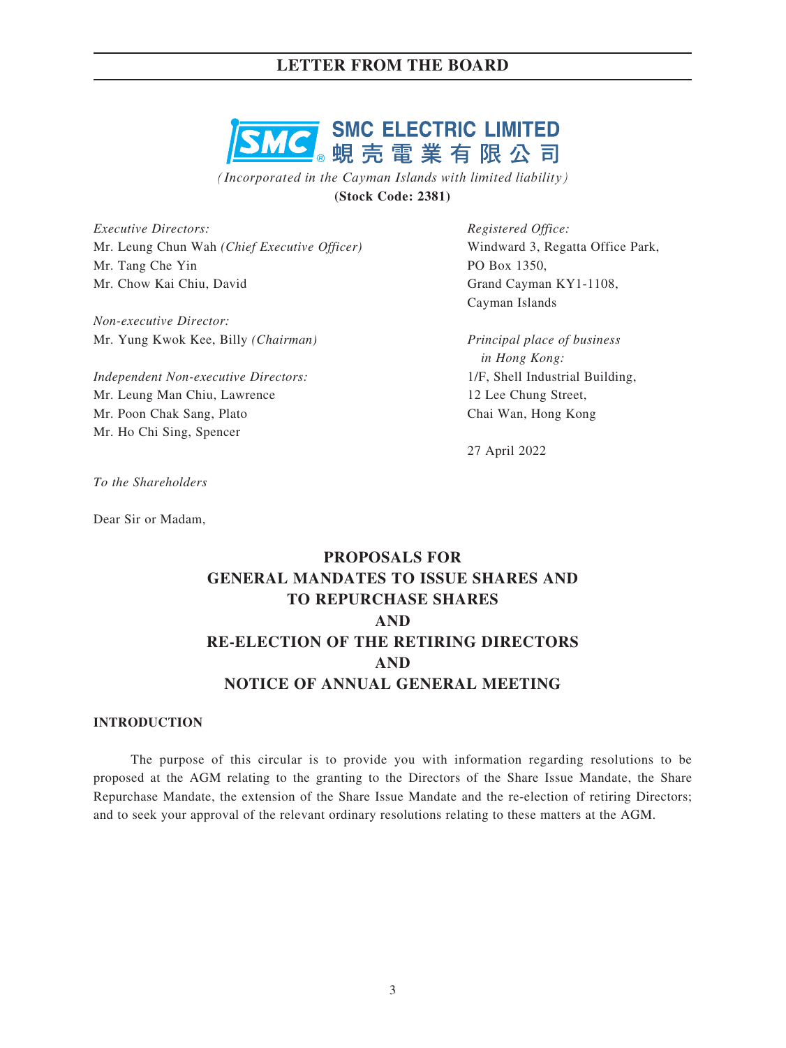## **LETTER FROM THE BOARD**



*(Incorporated in the Cayman Islands with limited liability)* **(Stock Code: 2381)**

*Executive Directors:* Mr. Leung Chun Wah *(Chief Executive Officer)* Mr. Tang Che Yin Mr. Chow Kai Chiu, David

*Non-executive Director:* Mr. Yung Kwok Kee, Billy *(Chairman)*

*Independent Non-executive Directors:* Mr. Leung Man Chiu, Lawrence Mr. Poon Chak Sang, Plato Mr. Ho Chi Sing, Spencer

*Registered Office:* Windward 3, Regatta Office Park, PO Box 1350, Grand Cayman KY1-1108, Cayman Islands

*Principal place of business in Hong Kong:* 1/F, Shell Industrial Building, 12 Lee Chung Street, Chai Wan, Hong Kong

27 April 2022

*To the Shareholders*

Dear Sir or Madam,

# **PROPOSALS FOR GENERAL MANDATES TO ISSUE SHARES AND TO REPURCHASE SHARES AND RE-ELECTION OF THE RETIRING DIRECTORS AND NOTICE OF ANNUAL GENERAL MEETING**

### **INTRODUCTION**

The purpose of this circular is to provide you with information regarding resolutions to be proposed at the AGM relating to the granting to the Directors of the Share Issue Mandate, the Share Repurchase Mandate, the extension of the Share Issue Mandate and the re-election of retiring Directors; and to seek your approval of the relevant ordinary resolutions relating to these matters at the AGM.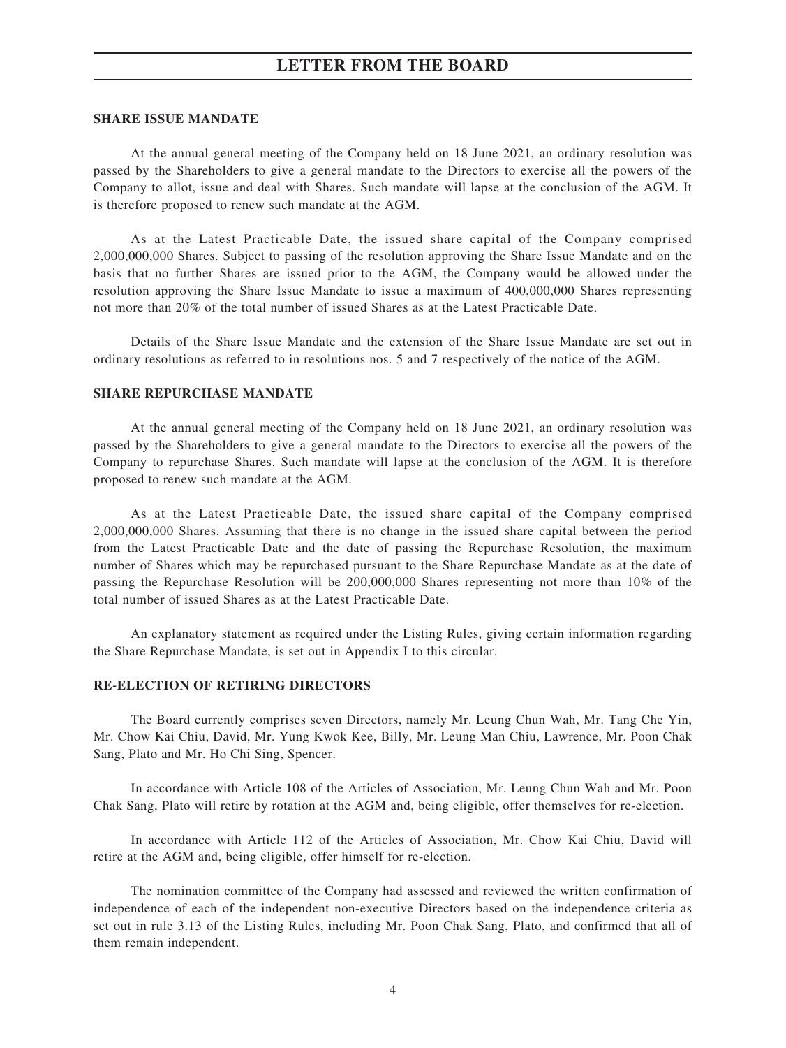## **LETTER FROM THE BOARD**

#### **SHARE ISSUE MANDATE**

At the annual general meeting of the Company held on 18 June 2021, an ordinary resolution was passed by the Shareholders to give a general mandate to the Directors to exercise all the powers of the Company to allot, issue and deal with Shares. Such mandate will lapse at the conclusion of the AGM. It is therefore proposed to renew such mandate at the AGM.

As at the Latest Practicable Date, the issued share capital of the Company comprised 2,000,000,000 Shares. Subject to passing of the resolution approving the Share Issue Mandate and on the basis that no further Shares are issued prior to the AGM, the Company would be allowed under the resolution approving the Share Issue Mandate to issue a maximum of 400,000,000 Shares representing not more than 20% of the total number of issued Shares as at the Latest Practicable Date.

Details of the Share Issue Mandate and the extension of the Share Issue Mandate are set out in ordinary resolutions as referred to in resolutions nos. 5 and 7 respectively of the notice of the AGM.

### **SHARE REPURCHASE MANDATE**

At the annual general meeting of the Company held on 18 June 2021, an ordinary resolution was passed by the Shareholders to give a general mandate to the Directors to exercise all the powers of the Company to repurchase Shares. Such mandate will lapse at the conclusion of the AGM. It is therefore proposed to renew such mandate at the AGM.

As at the Latest Practicable Date, the issued share capital of the Company comprised 2,000,000,000 Shares. Assuming that there is no change in the issued share capital between the period from the Latest Practicable Date and the date of passing the Repurchase Resolution, the maximum number of Shares which may be repurchased pursuant to the Share Repurchase Mandate as at the date of passing the Repurchase Resolution will be 200,000,000 Shares representing not more than 10% of the total number of issued Shares as at the Latest Practicable Date.

An explanatory statement as required under the Listing Rules, giving certain information regarding the Share Repurchase Mandate, is set out in Appendix I to this circular.

#### **RE-ELECTION OF RETIRING DIRECTORS**

The Board currently comprises seven Directors, namely Mr. Leung Chun Wah, Mr. Tang Che Yin, Mr. Chow Kai Chiu, David, Mr. Yung Kwok Kee, Billy, Mr. Leung Man Chiu, Lawrence, Mr. Poon Chak Sang, Plato and Mr. Ho Chi Sing, Spencer.

In accordance with Article 108 of the Articles of Association, Mr. Leung Chun Wah and Mr. Poon Chak Sang, Plato will retire by rotation at the AGM and, being eligible, offer themselves for re-election.

In accordance with Article 112 of the Articles of Association, Mr. Chow Kai Chiu, David will retire at the AGM and, being eligible, offer himself for re-election.

The nomination committee of the Company had assessed and reviewed the written confirmation of independence of each of the independent non-executive Directors based on the independence criteria as set out in rule 3.13 of the Listing Rules, including Mr. Poon Chak Sang, Plato, and confirmed that all of them remain independent.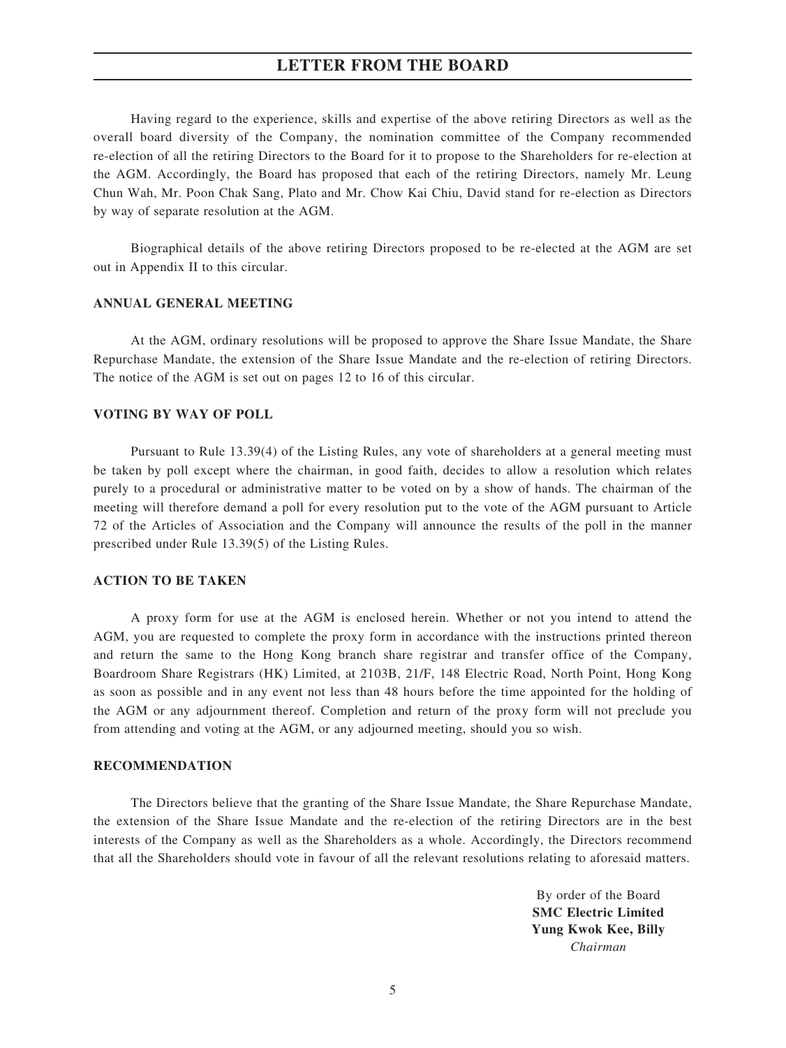## **LETTER FROM THE BOARD**

Having regard to the experience, skills and expertise of the above retiring Directors as well as the overall board diversity of the Company, the nomination committee of the Company recommended re-election of all the retiring Directors to the Board for it to propose to the Shareholders for re-election at the AGM. Accordingly, the Board has proposed that each of the retiring Directors, namely Mr. Leung Chun Wah, Mr. Poon Chak Sang, Plato and Mr. Chow Kai Chiu, David stand for re-election as Directors by way of separate resolution at the AGM.

Biographical details of the above retiring Directors proposed to be re-elected at the AGM are set out in Appendix II to this circular.

#### **ANNUAL GENERAL MEETING**

At the AGM, ordinary resolutions will be proposed to approve the Share Issue Mandate, the Share Repurchase Mandate, the extension of the Share Issue Mandate and the re-election of retiring Directors. The notice of the AGM is set out on pages 12 to 16 of this circular.

#### **VOTING BY WAY OF POLL**

Pursuant to Rule 13.39(4) of the Listing Rules, any vote of shareholders at a general meeting must be taken by poll except where the chairman, in good faith, decides to allow a resolution which relates purely to a procedural or administrative matter to be voted on by a show of hands. The chairman of the meeting will therefore demand a poll for every resolution put to the vote of the AGM pursuant to Article 72 of the Articles of Association and the Company will announce the results of the poll in the manner prescribed under Rule 13.39(5) of the Listing Rules.

#### **ACTION TO BE TAKEN**

A proxy form for use at the AGM is enclosed herein. Whether or not you intend to attend the AGM, you are requested to complete the proxy form in accordance with the instructions printed thereon and return the same to the Hong Kong branch share registrar and transfer office of the Company, Boardroom Share Registrars (HK) Limited, at 2103B, 21/F, 148 Electric Road, North Point, Hong Kong as soon as possible and in any event not less than 48 hours before the time appointed for the holding of the AGM or any adjournment thereof. Completion and return of the proxy form will not preclude you from attending and voting at the AGM, or any adjourned meeting, should you so wish.

#### **RECOMMENDATION**

The Directors believe that the granting of the Share Issue Mandate, the Share Repurchase Mandate, the extension of the Share Issue Mandate and the re-election of the retiring Directors are in the best interests of the Company as well as the Shareholders as a whole. Accordingly, the Directors recommend that all the Shareholders should vote in favour of all the relevant resolutions relating to aforesaid matters.

> By order of the Board **SMC Electric Limited Yung Kwok Kee, Billy** *Chairman*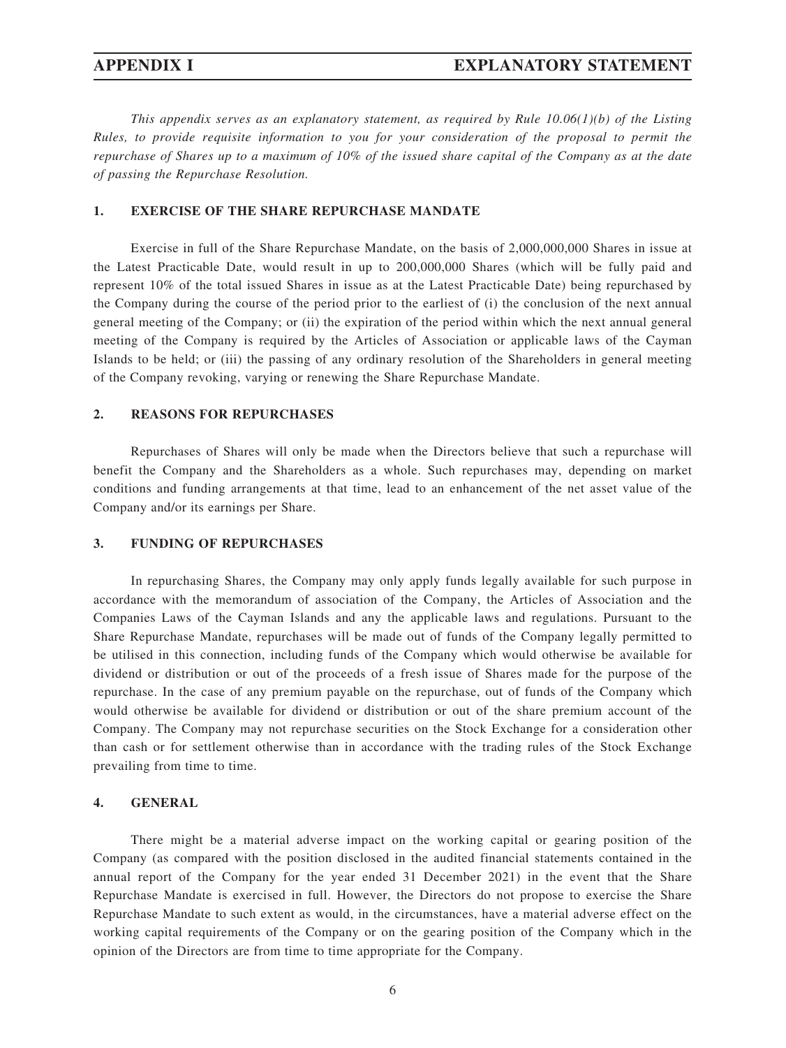*This appendix serves as an explanatory statement, as required by Rule 10.06(1)(b) of the Listing Rules, to provide requisite information to you for your consideration of the proposal to permit the repurchase of Shares up to a maximum of 10% of the issued share capital of the Company as at the date of passing the Repurchase Resolution.*

#### **1. EXERCISE OF THE SHARE REPURCHASE MANDATE**

Exercise in full of the Share Repurchase Mandate, on the basis of 2,000,000,000 Shares in issue at the Latest Practicable Date, would result in up to 200,000,000 Shares (which will be fully paid and represent 10% of the total issued Shares in issue as at the Latest Practicable Date) being repurchased by the Company during the course of the period prior to the earliest of (i) the conclusion of the next annual general meeting of the Company; or (ii) the expiration of the period within which the next annual general meeting of the Company is required by the Articles of Association or applicable laws of the Cayman Islands to be held; or (iii) the passing of any ordinary resolution of the Shareholders in general meeting of the Company revoking, varying or renewing the Share Repurchase Mandate.

#### **2. REASONS FOR REPURCHASES**

Repurchases of Shares will only be made when the Directors believe that such a repurchase will benefit the Company and the Shareholders as a whole. Such repurchases may, depending on market conditions and funding arrangements at that time, lead to an enhancement of the net asset value of the Company and/or its earnings per Share.

#### **3. FUNDING OF REPURCHASES**

In repurchasing Shares, the Company may only apply funds legally available for such purpose in accordance with the memorandum of association of the Company, the Articles of Association and the Companies Laws of the Cayman Islands and any the applicable laws and regulations. Pursuant to the Share Repurchase Mandate, repurchases will be made out of funds of the Company legally permitted to be utilised in this connection, including funds of the Company which would otherwise be available for dividend or distribution or out of the proceeds of a fresh issue of Shares made for the purpose of the repurchase. In the case of any premium payable on the repurchase, out of funds of the Company which would otherwise be available for dividend or distribution or out of the share premium account of the Company. The Company may not repurchase securities on the Stock Exchange for a consideration other than cash or for settlement otherwise than in accordance with the trading rules of the Stock Exchange prevailing from time to time.

#### **4. GENERAL**

There might be a material adverse impact on the working capital or gearing position of the Company (as compared with the position disclosed in the audited financial statements contained in the annual report of the Company for the year ended 31 December 2021) in the event that the Share Repurchase Mandate is exercised in full. However, the Directors do not propose to exercise the Share Repurchase Mandate to such extent as would, in the circumstances, have a material adverse effect on the working capital requirements of the Company or on the gearing position of the Company which in the opinion of the Directors are from time to time appropriate for the Company.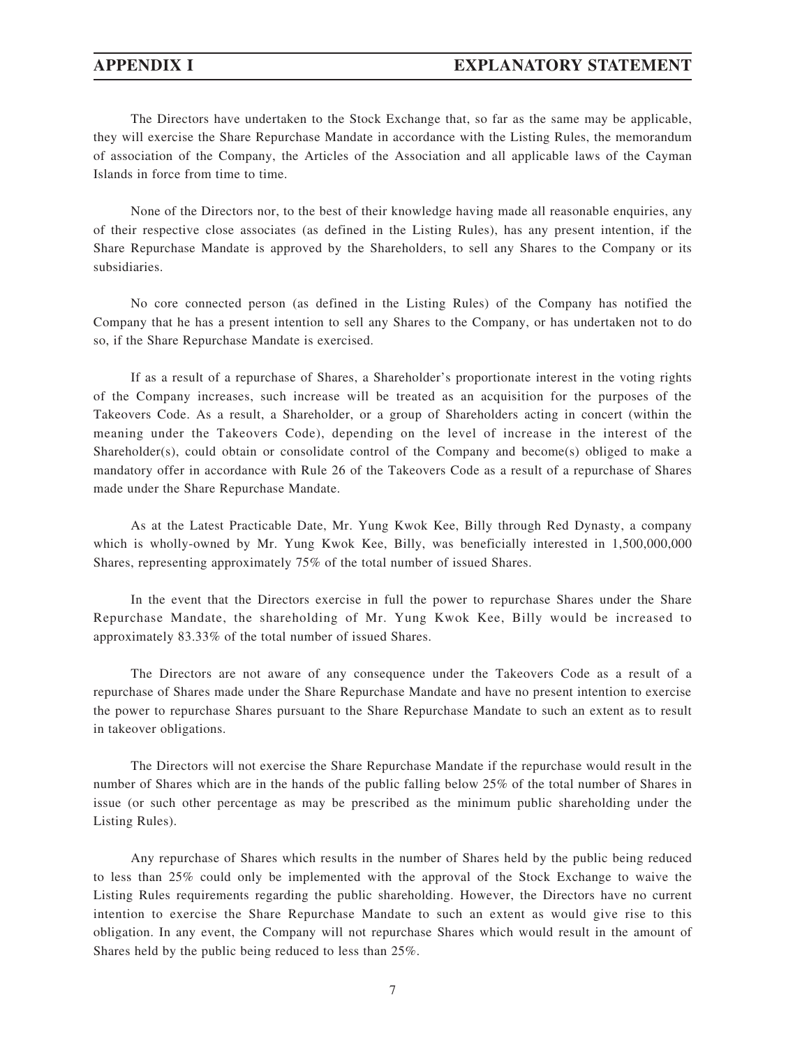The Directors have undertaken to the Stock Exchange that, so far as the same may be applicable, they will exercise the Share Repurchase Mandate in accordance with the Listing Rules, the memorandum of association of the Company, the Articles of the Association and all applicable laws of the Cayman Islands in force from time to time.

None of the Directors nor, to the best of their knowledge having made all reasonable enquiries, any of their respective close associates (as defined in the Listing Rules), has any present intention, if the Share Repurchase Mandate is approved by the Shareholders, to sell any Shares to the Company or its subsidiaries.

No core connected person (as defined in the Listing Rules) of the Company has notified the Company that he has a present intention to sell any Shares to the Company, or has undertaken not to do so, if the Share Repurchase Mandate is exercised.

If as a result of a repurchase of Shares, a Shareholder's proportionate interest in the voting rights of the Company increases, such increase will be treated as an acquisition for the purposes of the Takeovers Code. As a result, a Shareholder, or a group of Shareholders acting in concert (within the meaning under the Takeovers Code), depending on the level of increase in the interest of the Shareholder(s), could obtain or consolidate control of the Company and become(s) obliged to make a mandatory offer in accordance with Rule 26 of the Takeovers Code as a result of a repurchase of Shares made under the Share Repurchase Mandate.

As at the Latest Practicable Date, Mr. Yung Kwok Kee, Billy through Red Dynasty, a company which is wholly-owned by Mr. Yung Kwok Kee, Billy, was beneficially interested in 1,500,000,000 Shares, representing approximately 75% of the total number of issued Shares.

In the event that the Directors exercise in full the power to repurchase Shares under the Share Repurchase Mandate, the shareholding of Mr. Yung Kwok Kee, Billy would be increased to approximately 83.33% of the total number of issued Shares.

The Directors are not aware of any consequence under the Takeovers Code as a result of a repurchase of Shares made under the Share Repurchase Mandate and have no present intention to exercise the power to repurchase Shares pursuant to the Share Repurchase Mandate to such an extent as to result in takeover obligations.

The Directors will not exercise the Share Repurchase Mandate if the repurchase would result in the number of Shares which are in the hands of the public falling below 25% of the total number of Shares in issue (or such other percentage as may be prescribed as the minimum public shareholding under the Listing Rules).

Any repurchase of Shares which results in the number of Shares held by the public being reduced to less than 25% could only be implemented with the approval of the Stock Exchange to waive the Listing Rules requirements regarding the public shareholding. However, the Directors have no current intention to exercise the Share Repurchase Mandate to such an extent as would give rise to this obligation. In any event, the Company will not repurchase Shares which would result in the amount of Shares held by the public being reduced to less than 25%.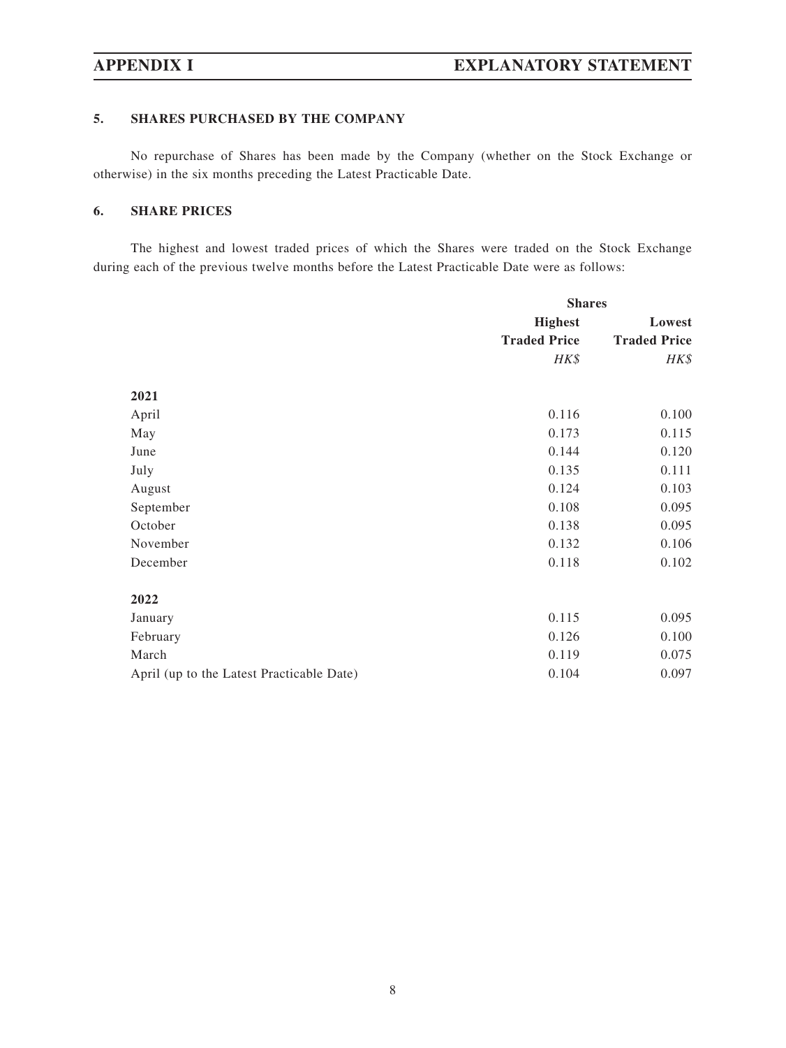### **5. SHARES PURCHASED BY THE COMPANY**

No repurchase of Shares has been made by the Company (whether on the Stock Exchange or otherwise) in the six months preceding the Latest Practicable Date.

### **6. SHARE PRICES**

The highest and lowest traded prices of which the Shares were traded on the Stock Exchange during each of the previous twelve months before the Latest Practicable Date were as follows:

|                                           |                                       | <b>Shares</b>                 |  |
|-------------------------------------------|---------------------------------------|-------------------------------|--|
|                                           | <b>Highest</b><br><b>Traded Price</b> | Lowest<br><b>Traded Price</b> |  |
|                                           |                                       |                               |  |
|                                           | HK\$                                  | HK\$                          |  |
| 2021                                      |                                       |                               |  |
| April                                     | 0.116                                 | 0.100                         |  |
| May                                       | 0.173                                 | 0.115                         |  |
| June                                      | 0.144                                 | 0.120                         |  |
| July                                      | 0.135                                 | 0.111                         |  |
| August                                    | 0.124                                 | 0.103                         |  |
| September                                 | 0.108                                 | 0.095                         |  |
| October                                   | 0.138                                 | 0.095                         |  |
| November                                  | 0.132                                 | 0.106                         |  |
| December                                  | 0.118                                 | 0.102                         |  |
| 2022                                      |                                       |                               |  |
| January                                   | 0.115                                 | 0.095                         |  |
| February                                  | 0.126                                 | 0.100                         |  |
| March                                     | 0.119                                 | 0.075                         |  |
| April (up to the Latest Practicable Date) | 0.104                                 | 0.097                         |  |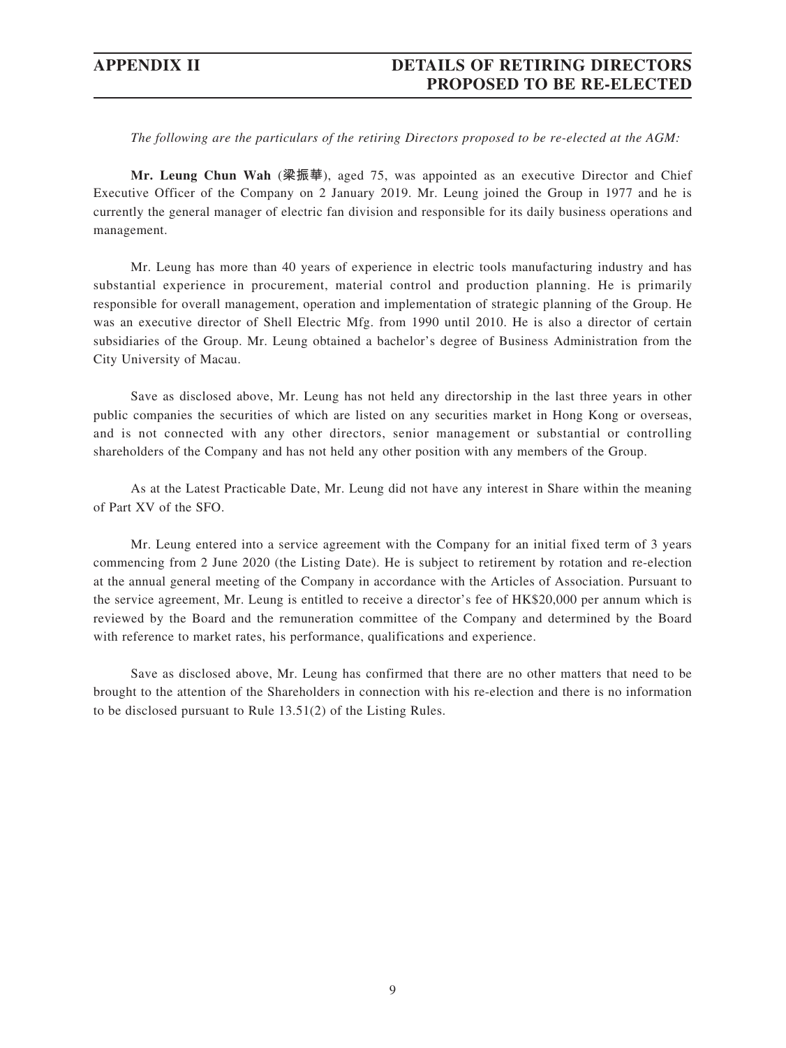## **APPENDIX II DETAILS OF RETIRING DIRECTORS PROPOSED TO BE RE-ELECTED**

*The following are the particulars of the retiring Directors proposed to be re-elected at the AGM:*

**Mr. Leung Chun Wah** (**梁振華**), aged 75, was appointed as an executive Director and Chief Executive Officer of the Company on 2 January 2019. Mr. Leung joined the Group in 1977 and he is currently the general manager of electric fan division and responsible for its daily business operations and management.

Mr. Leung has more than 40 years of experience in electric tools manufacturing industry and has substantial experience in procurement, material control and production planning. He is primarily responsible for overall management, operation and implementation of strategic planning of the Group. He was an executive director of Shell Electric Mfg. from 1990 until 2010. He is also a director of certain subsidiaries of the Group. Mr. Leung obtained a bachelor's degree of Business Administration from the City University of Macau.

Save as disclosed above, Mr. Leung has not held any directorship in the last three years in other public companies the securities of which are listed on any securities market in Hong Kong or overseas, and is not connected with any other directors, senior management or substantial or controlling shareholders of the Company and has not held any other position with any members of the Group.

As at the Latest Practicable Date, Mr. Leung did not have any interest in Share within the meaning of Part XV of the SFO.

Mr. Leung entered into a service agreement with the Company for an initial fixed term of 3 years commencing from 2 June 2020 (the Listing Date). He is subject to retirement by rotation and re-election at the annual general meeting of the Company in accordance with the Articles of Association. Pursuant to the service agreement, Mr. Leung is entitled to receive a director's fee of HK\$20,000 per annum which is reviewed by the Board and the remuneration committee of the Company and determined by the Board with reference to market rates, his performance, qualifications and experience.

Save as disclosed above, Mr. Leung has confirmed that there are no other matters that need to be brought to the attention of the Shareholders in connection with his re-election and there is no information to be disclosed pursuant to Rule 13.51(2) of the Listing Rules.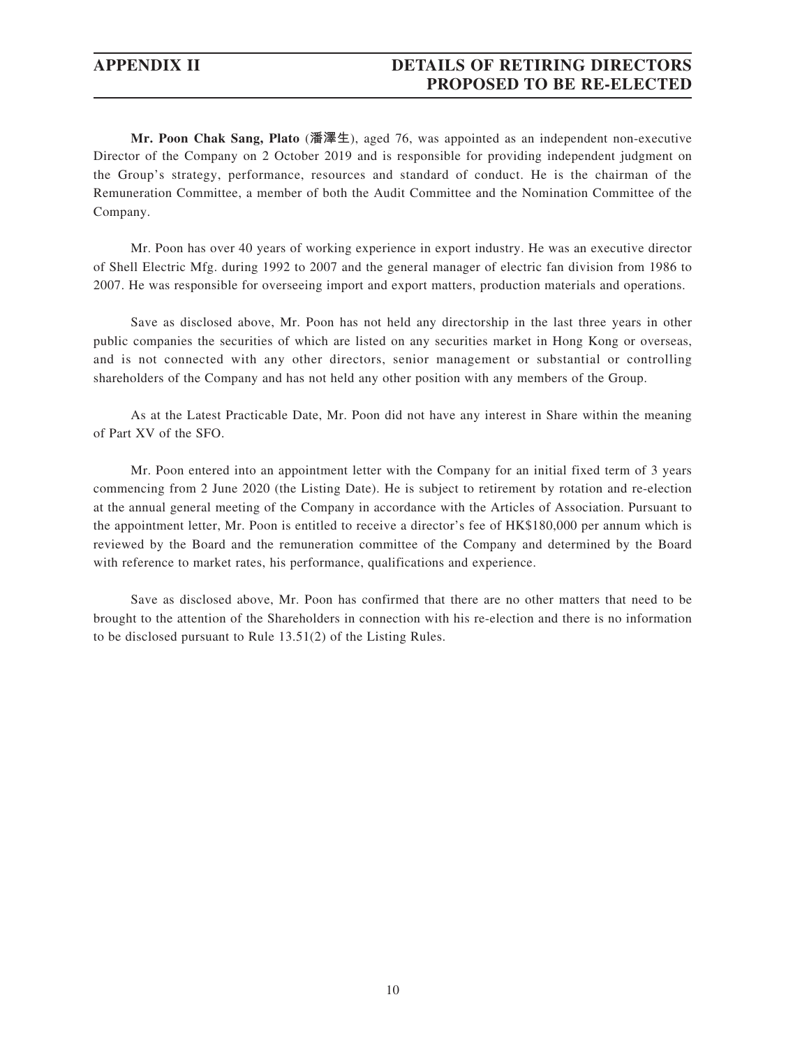## **APPENDIX II DETAILS OF RETIRING DIRECTORS PROPOSED TO BE RE-ELECTED**

**Mr. Poon Chak Sang, Plato** (**潘澤生**), aged 76, was appointed as an independent non-executive Director of the Company on 2 October 2019 and is responsible for providing independent judgment on the Group's strategy, performance, resources and standard of conduct. He is the chairman of the Remuneration Committee, a member of both the Audit Committee and the Nomination Committee of the Company.

Mr. Poon has over 40 years of working experience in export industry. He was an executive director of Shell Electric Mfg. during 1992 to 2007 and the general manager of electric fan division from 1986 to 2007. He was responsible for overseeing import and export matters, production materials and operations.

Save as disclosed above, Mr. Poon has not held any directorship in the last three years in other public companies the securities of which are listed on any securities market in Hong Kong or overseas, and is not connected with any other directors, senior management or substantial or controlling shareholders of the Company and has not held any other position with any members of the Group.

As at the Latest Practicable Date, Mr. Poon did not have any interest in Share within the meaning of Part XV of the SFO.

Mr. Poon entered into an appointment letter with the Company for an initial fixed term of 3 years commencing from 2 June 2020 (the Listing Date). He is subject to retirement by rotation and re-election at the annual general meeting of the Company in accordance with the Articles of Association. Pursuant to the appointment letter, Mr. Poon is entitled to receive a director's fee of HK\$180,000 per annum which is reviewed by the Board and the remuneration committee of the Company and determined by the Board with reference to market rates, his performance, qualifications and experience.

Save as disclosed above, Mr. Poon has confirmed that there are no other matters that need to be brought to the attention of the Shareholders in connection with his re-election and there is no information to be disclosed pursuant to Rule 13.51(2) of the Listing Rules.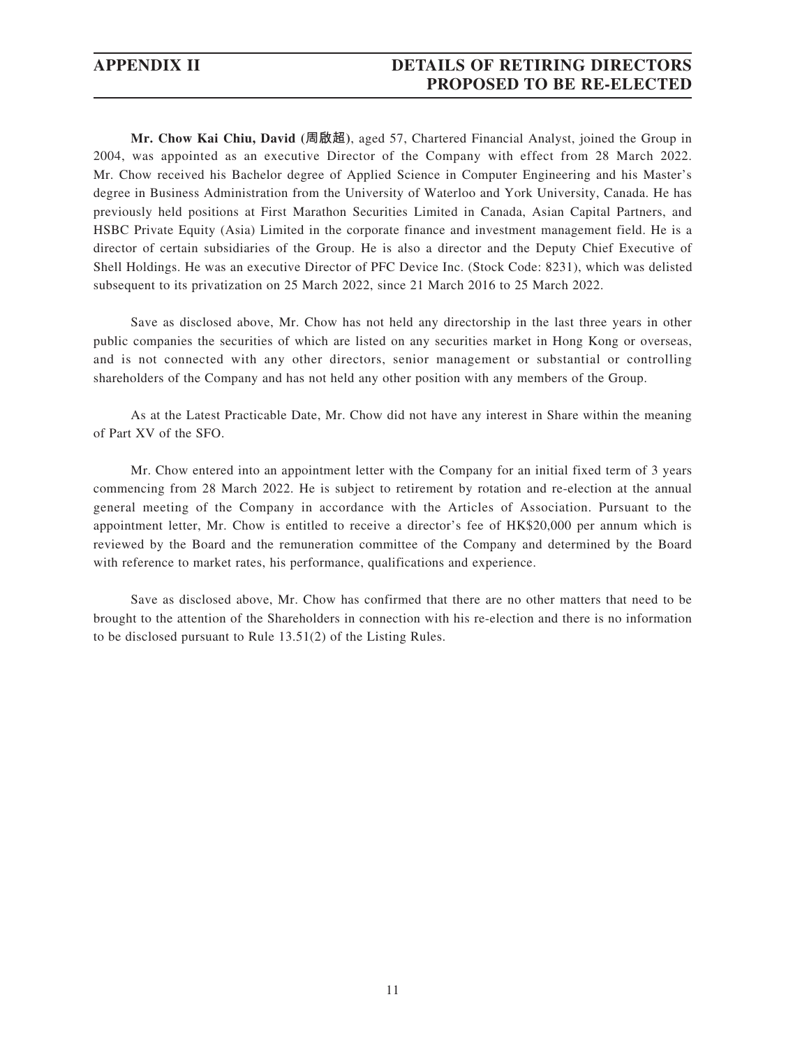## **APPENDIX II DETAILS OF RETIRING DIRECTORS PROPOSED TO BE RE-ELECTED**

**Mr. Chow Kai Chiu, David (周啟超)**, aged 57, Chartered Financial Analyst, joined the Group in 2004, was appointed as an executive Director of the Company with effect from 28 March 2022. Mr. Chow received his Bachelor degree of Applied Science in Computer Engineering and his Master's degree in Business Administration from the University of Waterloo and York University, Canada. He has previously held positions at First Marathon Securities Limited in Canada, Asian Capital Partners, and HSBC Private Equity (Asia) Limited in the corporate finance and investment management field. He is a director of certain subsidiaries of the Group. He is also a director and the Deputy Chief Executive of Shell Holdings. He was an executive Director of PFC Device Inc. (Stock Code: 8231), which was delisted subsequent to its privatization on 25 March 2022, since 21 March 2016 to 25 March 2022.

Save as disclosed above, Mr. Chow has not held any directorship in the last three years in other public companies the securities of which are listed on any securities market in Hong Kong or overseas, and is not connected with any other directors, senior management or substantial or controlling shareholders of the Company and has not held any other position with any members of the Group.

As at the Latest Practicable Date, Mr. Chow did not have any interest in Share within the meaning of Part XV of the SFO.

Mr. Chow entered into an appointment letter with the Company for an initial fixed term of 3 years commencing from 28 March 2022. He is subject to retirement by rotation and re-election at the annual general meeting of the Company in accordance with the Articles of Association. Pursuant to the appointment letter, Mr. Chow is entitled to receive a director's fee of HK\$20,000 per annum which is reviewed by the Board and the remuneration committee of the Company and determined by the Board with reference to market rates, his performance, qualifications and experience.

Save as disclosed above, Mr. Chow has confirmed that there are no other matters that need to be brought to the attention of the Shareholders in connection with his re-election and there is no information to be disclosed pursuant to Rule 13.51(2) of the Listing Rules.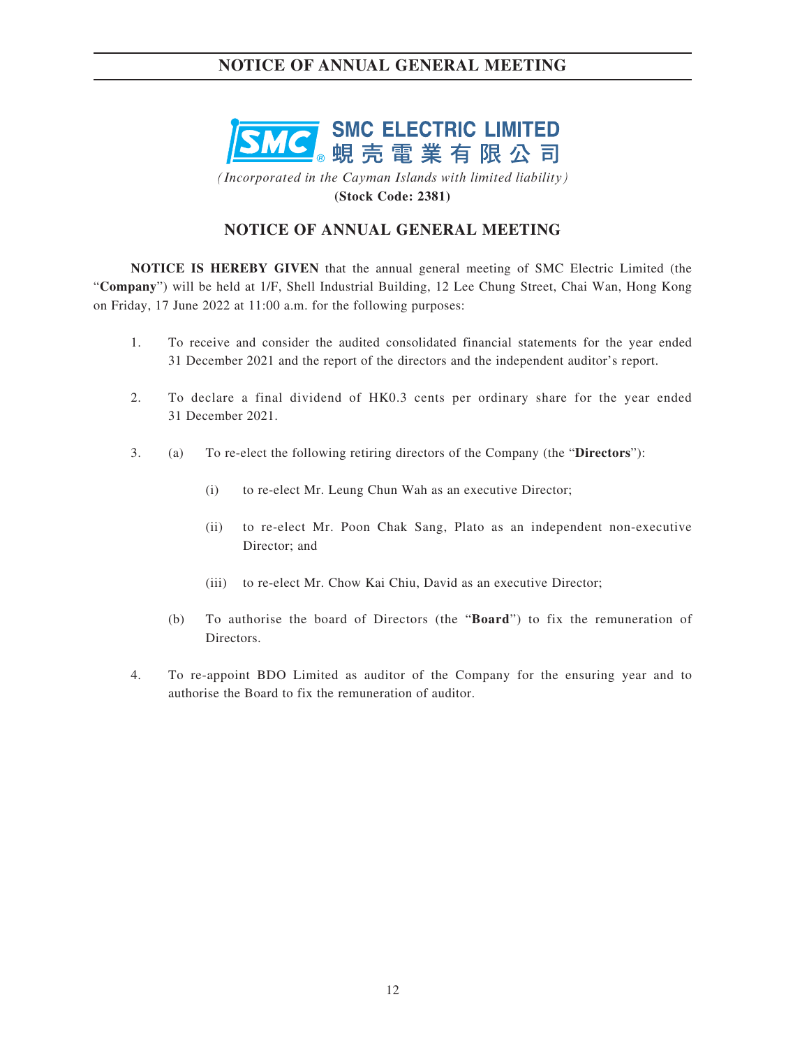

*(Incorporated in the Cayman Islands with limited liability)* **(Stock Code: 2381)**

## **NOTICE OF ANNUAL GENERAL MEETING**

**NOTICE IS HEREBY GIVEN** that the annual general meeting of SMC Electric Limited (the "**Company**") will be held at 1/F, Shell Industrial Building, 12 Lee Chung Street, Chai Wan, Hong Kong on Friday, 17 June 2022 at 11:00 a.m. for the following purposes:

- 1. To receive and consider the audited consolidated financial statements for the year ended 31 December 2021 and the report of the directors and the independent auditor's report.
- 2. To declare a final dividend of HK0.3 cents per ordinary share for the year ended 31 December 2021.
- 3. (a) To re-elect the following retiring directors of the Company (the "**Directors**"):
	- (i) to re-elect Mr. Leung Chun Wah as an executive Director;
	- (ii) to re-elect Mr. Poon Chak Sang, Plato as an independent non-executive Director; and
	- (iii) to re-elect Mr. Chow Kai Chiu, David as an executive Director;
	- (b) To authorise the board of Directors (the "**Board**") to fix the remuneration of Directors.
- 4. To re-appoint BDO Limited as auditor of the Company for the ensuring year and to authorise the Board to fix the remuneration of auditor.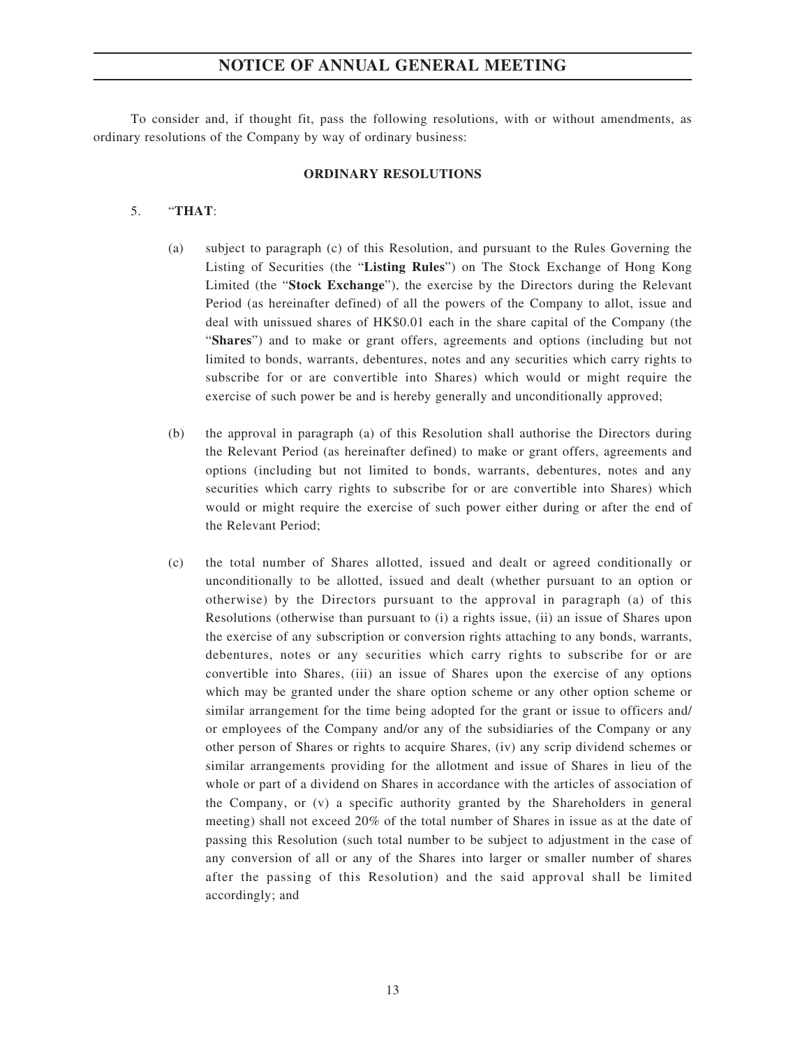To consider and, if thought fit, pass the following resolutions, with or without amendments, as ordinary resolutions of the Company by way of ordinary business:

#### **ORDINARY RESOLUTIONS**

### 5. "**THAT**:

- (a) subject to paragraph (c) of this Resolution, and pursuant to the Rules Governing the Listing of Securities (the "**Listing Rules**") on The Stock Exchange of Hong Kong Limited (the "**Stock Exchange**"), the exercise by the Directors during the Relevant Period (as hereinafter defined) of all the powers of the Company to allot, issue and deal with unissued shares of HK\$0.01 each in the share capital of the Company (the "**Shares**") and to make or grant offers, agreements and options (including but not limited to bonds, warrants, debentures, notes and any securities which carry rights to subscribe for or are convertible into Shares) which would or might require the exercise of such power be and is hereby generally and unconditionally approved;
- (b) the approval in paragraph (a) of this Resolution shall authorise the Directors during the Relevant Period (as hereinafter defined) to make or grant offers, agreements and options (including but not limited to bonds, warrants, debentures, notes and any securities which carry rights to subscribe for or are convertible into Shares) which would or might require the exercise of such power either during or after the end of the Relevant Period;
- (c) the total number of Shares allotted, issued and dealt or agreed conditionally or unconditionally to be allotted, issued and dealt (whether pursuant to an option or otherwise) by the Directors pursuant to the approval in paragraph (a) of this Resolutions (otherwise than pursuant to (i) a rights issue, (ii) an issue of Shares upon the exercise of any subscription or conversion rights attaching to any bonds, warrants, debentures, notes or any securities which carry rights to subscribe for or are convertible into Shares, (iii) an issue of Shares upon the exercise of any options which may be granted under the share option scheme or any other option scheme or similar arrangement for the time being adopted for the grant or issue to officers and/ or employees of the Company and/or any of the subsidiaries of the Company or any other person of Shares or rights to acquire Shares, (iv) any scrip dividend schemes or similar arrangements providing for the allotment and issue of Shares in lieu of the whole or part of a dividend on Shares in accordance with the articles of association of the Company, or (v) a specific authority granted by the Shareholders in general meeting) shall not exceed 20% of the total number of Shares in issue as at the date of passing this Resolution (such total number to be subject to adjustment in the case of any conversion of all or any of the Shares into larger or smaller number of shares after the passing of this Resolution) and the said approval shall be limited accordingly; and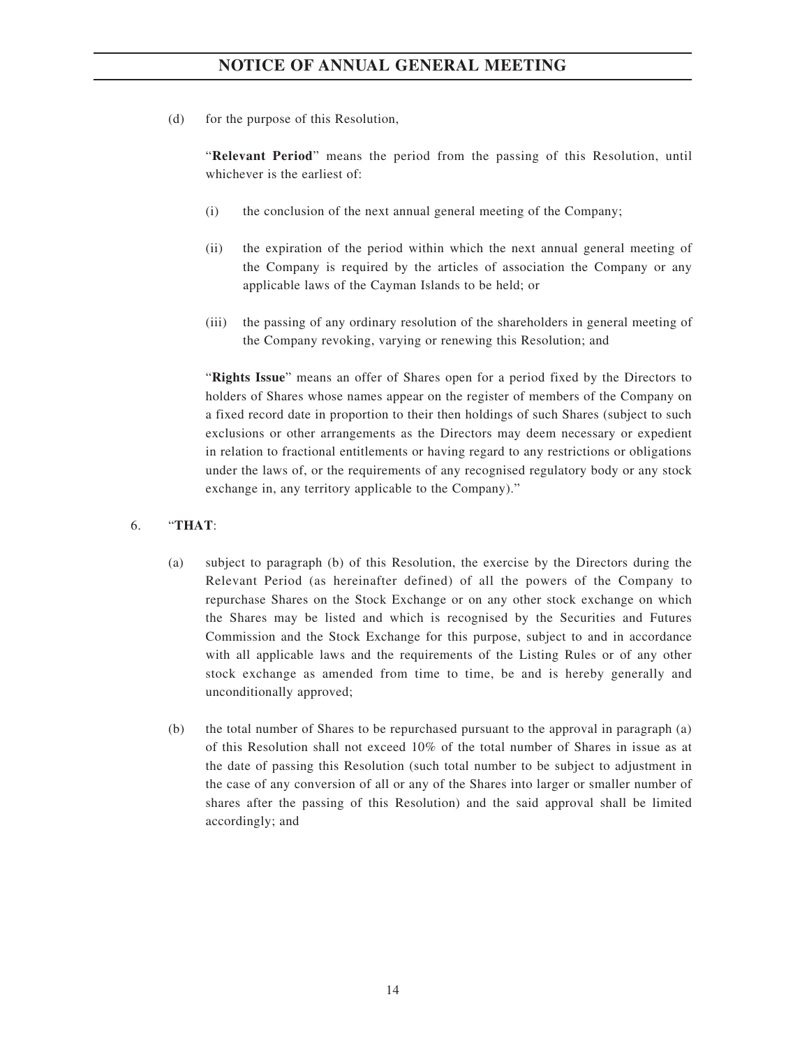(d) for the purpose of this Resolution,

"**Relevant Period**" means the period from the passing of this Resolution, until whichever is the earliest of:

- (i) the conclusion of the next annual general meeting of the Company;
- (ii) the expiration of the period within which the next annual general meeting of the Company is required by the articles of association the Company or any applicable laws of the Cayman Islands to be held; or
- (iii) the passing of any ordinary resolution of the shareholders in general meeting of the Company revoking, varying or renewing this Resolution; and

"**Rights Issue**" means an offer of Shares open for a period fixed by the Directors to holders of Shares whose names appear on the register of members of the Company on a fixed record date in proportion to their then holdings of such Shares (subject to such exclusions or other arrangements as the Directors may deem necessary or expedient in relation to fractional entitlements or having regard to any restrictions or obligations under the laws of, or the requirements of any recognised regulatory body or any stock exchange in, any territory applicable to the Company)."

### 6. "**THAT**:

- (a) subject to paragraph (b) of this Resolution, the exercise by the Directors during the Relevant Period (as hereinafter defined) of all the powers of the Company to repurchase Shares on the Stock Exchange or on any other stock exchange on which the Shares may be listed and which is recognised by the Securities and Futures Commission and the Stock Exchange for this purpose, subject to and in accordance with all applicable laws and the requirements of the Listing Rules or of any other stock exchange as amended from time to time, be and is hereby generally and unconditionally approved;
- (b) the total number of Shares to be repurchased pursuant to the approval in paragraph (a) of this Resolution shall not exceed 10% of the total number of Shares in issue as at the date of passing this Resolution (such total number to be subject to adjustment in the case of any conversion of all or any of the Shares into larger or smaller number of shares after the passing of this Resolution) and the said approval shall be limited accordingly; and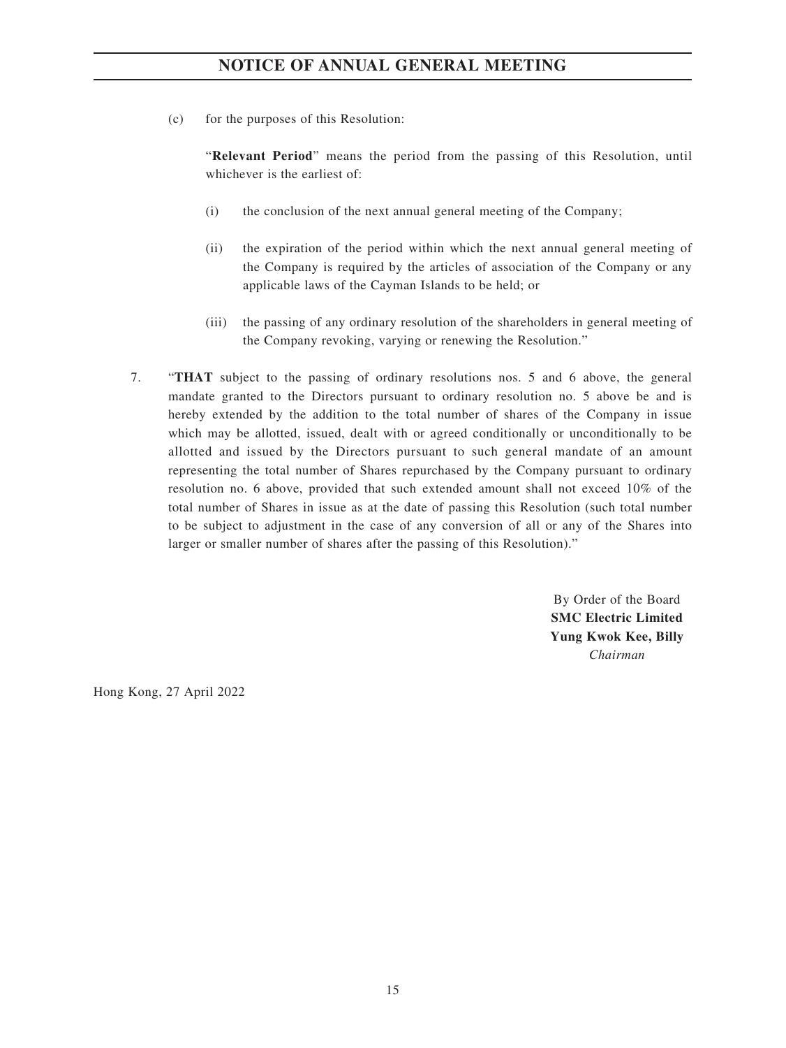(c) for the purposes of this Resolution:

"**Relevant Period**" means the period from the passing of this Resolution, until whichever is the earliest of:

- (i) the conclusion of the next annual general meeting of the Company;
- (ii) the expiration of the period within which the next annual general meeting of the Company is required by the articles of association of the Company or any applicable laws of the Cayman Islands to be held; or
- (iii) the passing of any ordinary resolution of the shareholders in general meeting of the Company revoking, varying or renewing the Resolution."
- 7. "**THAT** subject to the passing of ordinary resolutions nos. 5 and 6 above, the general mandate granted to the Directors pursuant to ordinary resolution no. 5 above be and is hereby extended by the addition to the total number of shares of the Company in issue which may be allotted, issued, dealt with or agreed conditionally or unconditionally to be allotted and issued by the Directors pursuant to such general mandate of an amount representing the total number of Shares repurchased by the Company pursuant to ordinary resolution no. 6 above, provided that such extended amount shall not exceed 10% of the total number of Shares in issue as at the date of passing this Resolution (such total number to be subject to adjustment in the case of any conversion of all or any of the Shares into larger or smaller number of shares after the passing of this Resolution)."

By Order of the Board **SMC Electric Limited Yung Kwok Kee, Billy** *Chairman*

Hong Kong, 27 April 2022